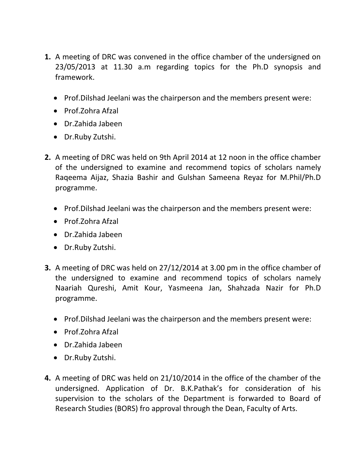- **1.** A meeting of DRC was convened in the office chamber of the undersigned on 23/05/2013 at 11.30 a.m regarding topics for the Ph.D synopsis and framework.
	- Prof. Dilshad Jeelani was the chairperson and the members present were:
	- Prof.Zohra Afzal
	- Dr.Zahida Jabeen
	- Dr.Ruby Zutshi.
- **2.** A meeting of DRC was held on 9th April 2014 at 12 noon in the office chamber of the undersigned to examine and recommend topics of scholars namely Raqeema Aijaz, Shazia Bashir and Gulshan Sameena Reyaz for M.Phil/Ph.D programme.
	- Prof. Dilshad Jeelani was the chairperson and the members present were:
	- Prof. Zohra Afzal
	- Dr.Zahida Jabeen
	- Dr.Ruby Zutshi.
- **3.** A meeting of DRC was held on 27/12/2014 at 3.00 pm in the office chamber of the undersigned to examine and recommend topics of scholars namely Naariah Qureshi, Amit Kour, Yasmeena Jan, Shahzada Nazir for Ph.D programme.
	- Prof. Dilshad Jeelani was the chairperson and the members present were:
	- Prof.Zohra Afzal
	- Dr.Zahida Jabeen
	- Dr.Ruby Zutshi.
- **4.** A meeting of DRC was held on 21/10/2014 in the office of the chamber of the undersigned. Application of Dr. B.K.Pathak's for consideration of his supervision to the scholars of the Department is forwarded to Board of Research Studies (BORS) fro approval through the Dean, Faculty of Arts.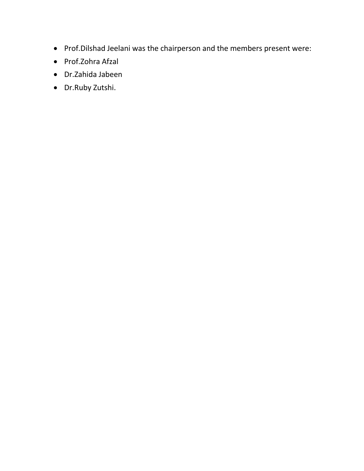- Prof.Dilshad Jeelani was the chairperson and the members present were:
- Prof.Zohra Afzal
- Dr.Zahida Jabeen
- Dr.Ruby Zutshi.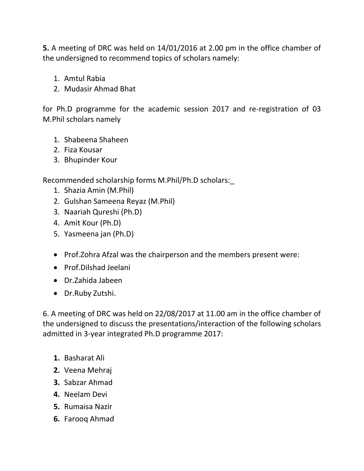**5.** A meeting of DRC was held on 14/01/2016 at 2.00 pm in the office chamber of the undersigned to recommend topics of scholars namely:

- 1. Amtul Rabia
- 2. Mudasir Ahmad Bhat

for Ph.D programme for the academic session 2017 and re-registration of 03 M.Phil scholars namely

- 1. Shabeena Shaheen
- 2. Fiza Kousar
- 3. Bhupinder Kour

Recommended scholarship forms M.Phil/Ph.D scholars:\_

- 1. Shazia Amin (M.Phil)
- 2. Gulshan Sameena Reyaz (M.Phil)
- 3. Naariah Qureshi (Ph.D)
- 4. Amit Kour (Ph.D)
- 5. Yasmeena jan (Ph.D)
- Prof. Zohra Afzal was the chairperson and the members present were:
- Prof.Dilshad Jeelani
- Dr.Zahida Jabeen
- Dr.Ruby Zutshi.

6. A meeting of DRC was held on 22/08/2017 at 11.00 am in the office chamber of the undersigned to discuss the presentations/interaction of the following scholars admitted in 3-year integrated Ph.D programme 2017:

- **1.** Basharat Ali
- **2.** Veena Mehraj
- **3.** Sabzar Ahmad
- **4.** Neelam Devi
- **5.** Rumaisa Nazir
- **6.** Farooq Ahmad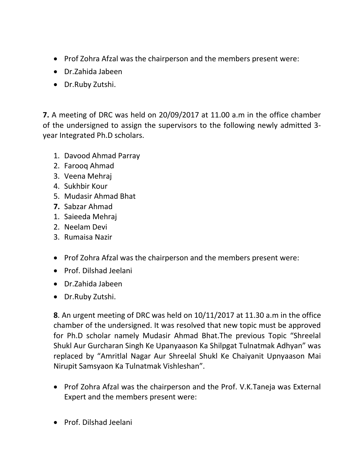- Prof Zohra Afzal was the chairperson and the members present were:
- Dr.Zahida Jabeen
- Dr.Ruby Zutshi.

**7.** A meeting of DRC was held on 20/09/2017 at 11.00 a.m in the office chamber of the undersigned to assign the supervisors to the following newly admitted 3 year Integrated Ph.D scholars.

- 1. Davood Ahmad Parray
- 2. Farooq Ahmad
- 3. Veena Mehraj
- 4. Sukhbir Kour
- 5. Mudasir Ahmad Bhat
- **7.** Sabzar Ahmad
- 1. Saieeda Mehraj
- 2. Neelam Devi
- 3. Rumaisa Nazir
- Prof Zohra Afzal was the chairperson and the members present were:
- Prof. Dilshad Jeelani
- Dr.Zahida Jabeen
- Dr.Ruby Zutshi.

**8**. An urgent meeting of DRC was held on 10/11/2017 at 11.30 a.m in the office chamber of the undersigned. It was resolved that new topic must be approved for Ph.D scholar namely Mudasir Ahmad Bhat.The previous Topic "Shreelal Shukl Aur Gurcharan Singh Ke Upanyaason Ka Shilpgat Tulnatmak Adhyan" was replaced by "Amritlal Nagar Aur Shreelal Shukl Ke Chaiyanit Upnyaason Mai Nirupit Samsyaon Ka Tulnatmak Vishleshan".

- Prof Zohra Afzal was the chairperson and the Prof. V.K.Taneja was External Expert and the members present were:
- Prof. Dilshad Jeelani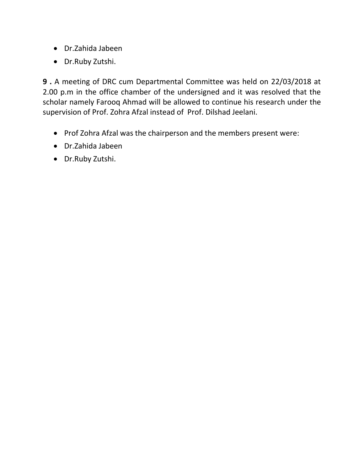- Dr.Zahida Jabeen
- Dr.Ruby Zutshi.

**9 .** A meeting of DRC cum Departmental Committee was held on 22/03/2018 at 2.00 p.m in the office chamber of the undersigned and it was resolved that the scholar namely Farooq Ahmad will be allowed to continue his research under the supervision of Prof. Zohra Afzal instead of Prof. Dilshad Jeelani.

- Prof Zohra Afzal was the chairperson and the members present were:
- Dr.Zahida Jabeen
- Dr.Ruby Zutshi.